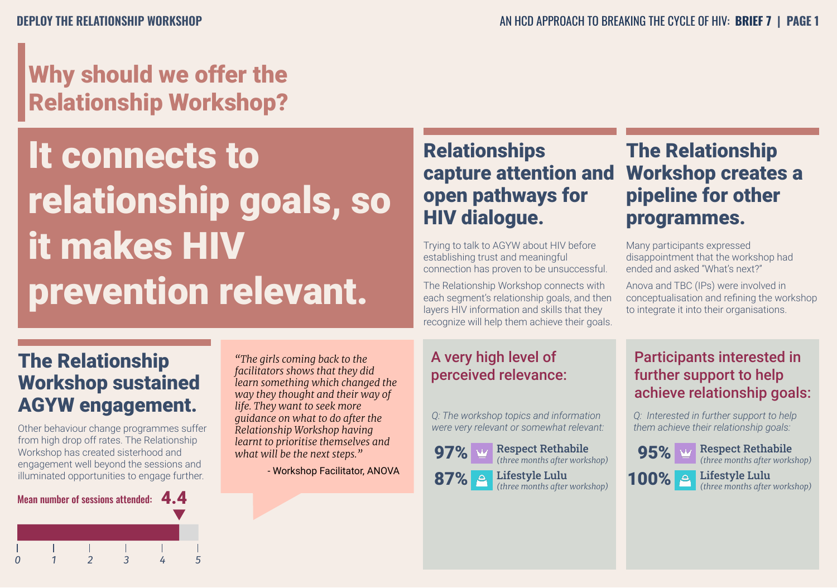## Why should we offer the Relationship Workshop?

It connects to relationship goals, so it makes HIV prevention relevant.

#### **Relationships** capture attention and open pathways for HIV dialogue.

Trying to talk to AGYW about HIV before establishing trust and meaningful connection has proven to be unsuccessful.

The Relationship Workshop connects with each segment's relationship goals, and then layers HIV information and skills that they recognize will help them achieve their goals.

## Workshop creates a pipeline for other programmes.

The Relationship

Many participants expressed disappointment that the workshop had ended and asked "What's next?"

Anova and TBC (IPs) were involved in conceptualisation and refining the workshop to integrate it into their organisations.

#### The Relationship Workshop sustained AGYW engagement.

Other behaviour change programmes suffer from high drop off rates. The Relationship Workshop has created sisterhood and engagement well beyond the sessions and illuminated opportunities to engage further.



*"The girls coming back to the facilitators shows that they did learn something which changed the way they thought and their way of life. They want to seek more guidance on what to do after the Relationship Workshop having learnt to prioritise themselves and what will be the next steps."*

- Workshop Facilitator, ANOVA

#### A very high level of perceived relevance:

*Q: The workshop topics and information were very relevant or somewhat relevant:*



#### Participants interested in further support to help achieve relationship goals:

*Q: Interested in further support to help them achieve their relationship goals:*

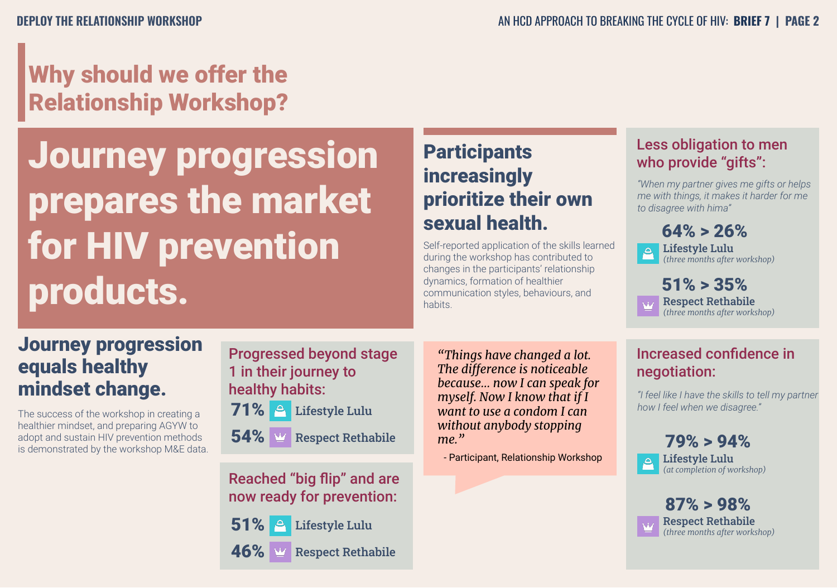## Why should we offer the Relationship Workshop?

Journey progression prepares the market for HIV prevention products.

### **Participants** increasingly prioritize their own sexual health.

Self-reported application of the skills learned during the workshop has contributed to changes in the participants' relationship dynamics, formation of healthier communication styles, behaviours, and habits. The spect Rethabile

#### Less obligation to men who provide "gifts":

*"When my partner gives me gifts or helps me with things, it makes it harder for me to disagree with hima"*



#### Journey progression equals healthy mindset change.

The success of the workshop in creating a healthier mindset, and preparing AGYW to adopt and sustain HIV prevention methods is demonstrated by the workshop M&E data. Progressed beyond stage 1 in their journey to healthy habits:



 $\textbf{54\%}$   $\textcolor{red}{\bullet}$  Respect Rethabile

Reached "big flip" and are now ready for prevention:

Respect Rethabile 51% & Lifestyle Lulu 46%

*"Things have changed a lot. The difference is noticeable because… now I can speak for myself. Now I know that if I want to use a condom I can without anybody stopping me."* 

- Participant, Relationship Workshop

#### Increased confidence in negotiation:

*"I feel like I have the skills to tell my partner how I feel when we disagree."*



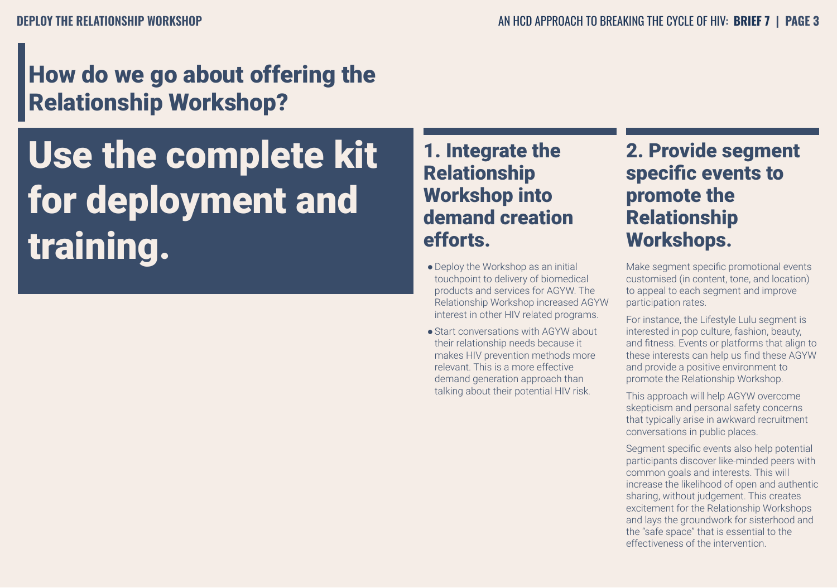## How do we go about offering the Relationship Workshop?

Use the complete kit for deployment and training.

#### 1. Integrate the Relationship Workshop into demand creation efforts.

- Deploy the Workshop as an initial touchpoint to delivery of biomedical products and services for AGYW. The Relationship Workshop increased AGYW interest in other HIV related programs.
- Start conversations with AGYW about their relationship needs because it makes HIV prevention methods more relevant. This is a more effective demand generation approach than talking about their potential HIV risk.

#### 2. Provide segment specific events to promote the Relationship Workshops.

Make segment specific promotional events customised (in content, tone, and location) to appeal to each segment and improve participation rates.

For instance, the Lifestyle Lulu segment is interested in pop culture, fashion, beauty, and fitness. Events or platforms that align to these interests can help us find these AGYW and provide a positive environment to promote the Relationship Workshop.

This approach will help AGYW overcome skepticism and personal safety concerns that typically arise in awkward recruitment conversations in public places.

Segment specific events also help potential participants discover like-minded peers with common goals and interests. This will increase the likelihood of open and authentic sharing, without judgement. This creates excitement for the Relationship Workshops and lays the groundwork for sisterhood and the "safe space" that is essential to the effectiveness of the intervention.